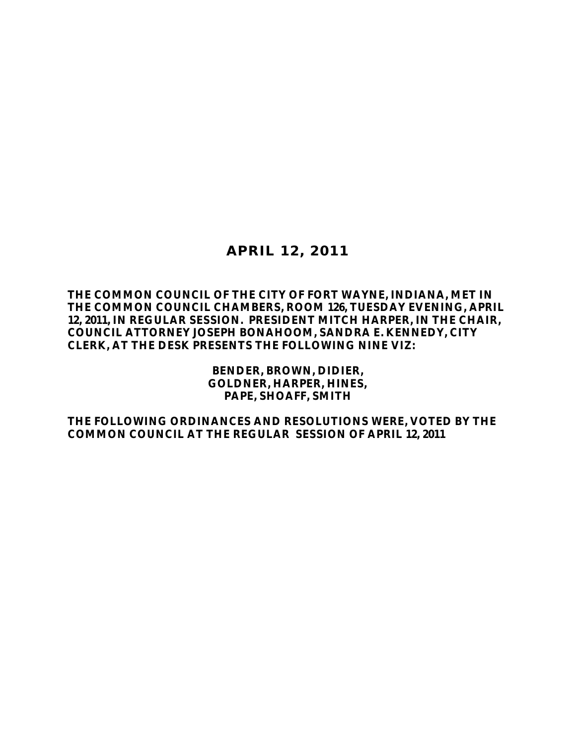# **APRIL 12, 2011**

### **THE COMMON COUNCIL OF THE CITY OF FORT WAYNE, INDIANA, MET IN THE COMMON COUNCIL CHAMBERS, ROOM 126, TUESDAY EVENING, APRIL 12, 2011, IN REGULAR SESSION. PRESIDENT MITCH HARPER, IN THE CHAIR, COUNCIL ATTORNEY JOSEPH BONAHOOM, SANDRA E. KENNEDY, CITY CLERK, AT THE DESK PRESENTS THE FOLLOWING NINE VIZ:**

**BENDER, BROWN, DIDIER, GOLDNER, HARPER, HINES, PAPE, SHOAFF, SMITH**

**THE FOLLOWING ORDINANCES AND RESOLUTIONS WERE, VOTED BY THE COMMON COUNCIL AT THE REGULAR SESSION OF APRIL 12, 2011**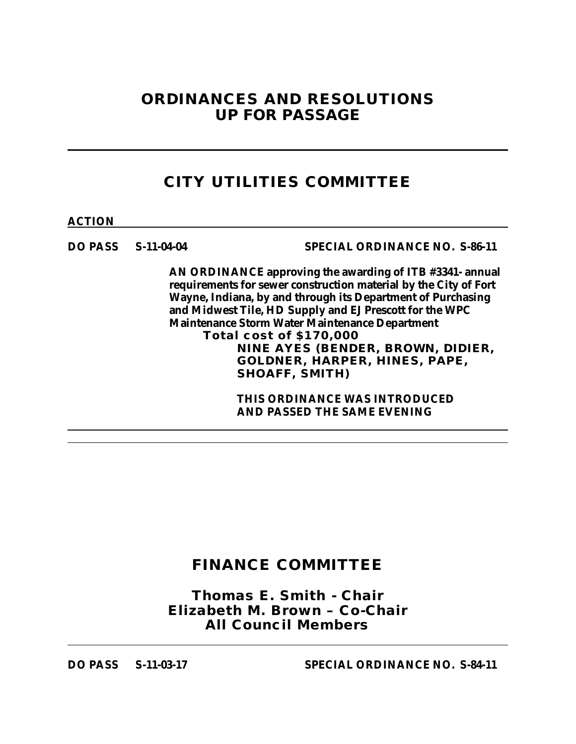# **ORDINANCES AND RESOLUTIONS UP FOR PASSAGE**

# **CITY UTILITIES COMMITTEE**

**ACTION**

**DO PASS S-11-04-04 SPECIAL ORDINANCE NO. S-86-11**

**AN ORDINANCE approving the awarding of ITB #3341- annual requirements for sewer construction material by the City of Fort Wayne, Indiana, by and through its Department of Purchasing and Midwest Tile, HD Supply and EJ Prescott for the WPC Maintenance Storm Water Maintenance Department Total cost of \$170,000 NINE AYES (BENDER, BROWN, DIDIER, GOLDNER, HARPER, HINES, PAPE, SHOAFF, SMITH)**

> **THIS ORDINANCE WAS INTRODUCED AND PASSED THE SAME EVENING**

# **FINANCE COMMITTEE**

*Thomas E. Smith - Chair Elizabeth M. Brown – Co-Chair All Council Members*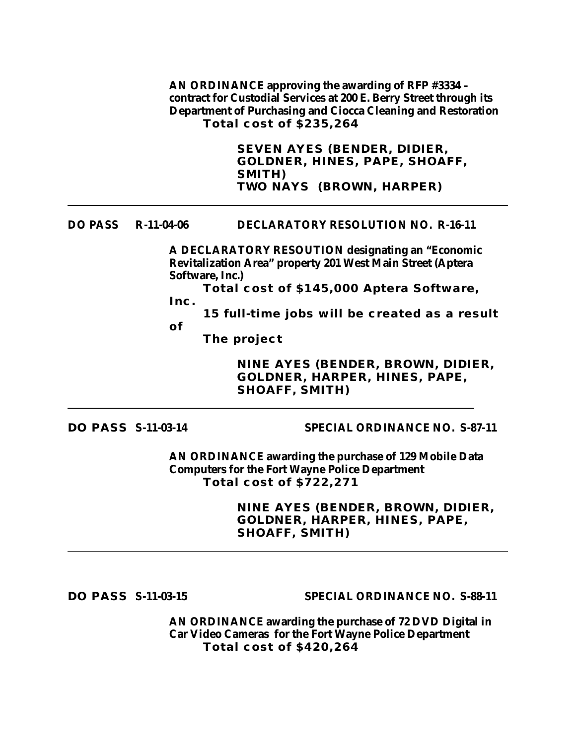**AN ORDINANCE approving the awarding of RFP #3334 – contract for Custodial Services at 200 E. Berry Street through its Department of Purchasing and Ciocca Cleaning and Restoration Total cost of \$235,264**

> **SEVEN AYES (BENDER, DIDIER, GOLDNER, HINES, PAPE, SHOAFF, SMITH) TWO NAYS (BROWN, HARPER)**

#### **DO PASS R-11-04-06 DECLARATORY RESOLUTION NO. R-16-11**

**A DECLARATORY RESOUTION designating an "Economic Revitalization Area" property 201 West Main Street (Aptera Software, Inc.)**

**Total cost of \$145,000 Aptera Software, Inc.**

**15 full-time jobs will be created as a result** 

**of** 

**The project**

**NINE AYES (BENDER, BROWN, DIDIER, GOLDNER, HARPER, HINES, PAPE, SHOAFF, SMITH)**

**DO PASS S-11-03-14 SPECIAL ORDINANCE NO. S-87-11**

**AN ORDINANCE awarding the purchase of 129 Mobile Data Computers for the Fort Wayne Police Department Total cost of \$722,271**

> **NINE AYES (BENDER, BROWN, DIDIER, GOLDNER, HARPER, HINES, PAPE, SHOAFF, SMITH)**

**DO PASS S-11-03-15 SPECIAL ORDINANCE NO. S-88-11**

**AN ORDINANCE awarding the purchase of 72 DVD Digital in Car Video Cameras for the Fort Wayne Police Department Total cost of \$420,264**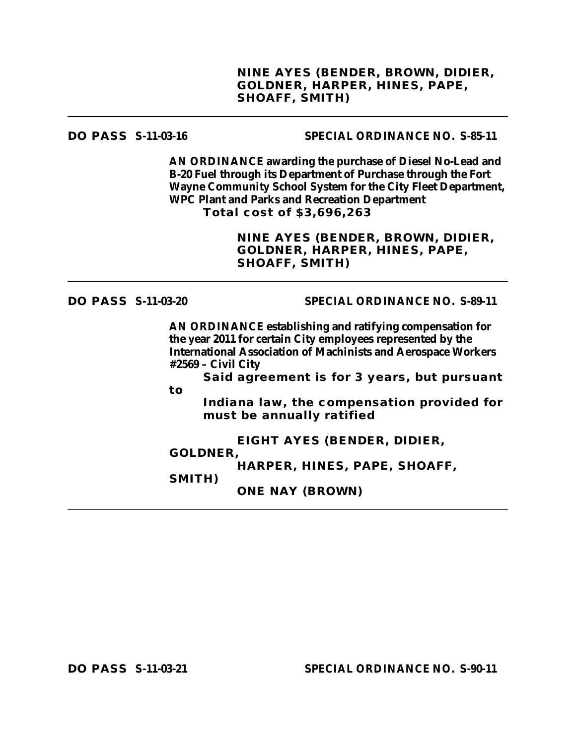### **DO PASS S-11-03-16 SPECIAL ORDINANCE NO. S-85-11**

**AN ORDINANCE awarding the purchase of Diesel No-Lead and B-20 Fuel through its Department of Purchase through the Fort Wayne Community School System for the City Fleet Department, WPC Plant and Parks and Recreation Department Total cost of \$3,696,263**

> **NINE AYES (BENDER, BROWN, DIDIER, GOLDNER, HARPER, HINES, PAPE, SHOAFF, SMITH)**

### **DO PASS S-11-03-20 SPECIAL ORDINANCE NO. S-89-11**

**AN ORDINANCE establishing and ratifying compensation for the year 2011 for certain City employees represented by the International Association of Machinists and Aerospace Workers #2569 – Civil City**

**Said agreement is for 3 years, but pursuant to**

**Indiana law, the compensation provided for must be annually ratified**

**EIGHT AYES (BENDER, DIDIER,** 

#### **GOLDNER,**

**SMITH)**

**HARPER, HINES, PAPE, SHOAFF,** 

**ONE NAY (BROWN)**

**DO PASS S-11-03-21 SPECIAL ORDINANCE NO. S-90-11**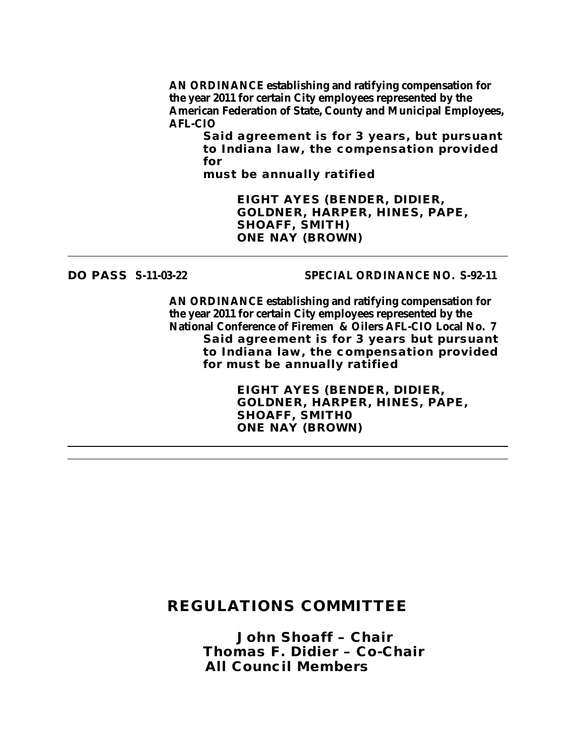**AN ORDINANCE establishing and ratifying compensation for the year 2011 for certain City employees represented by the American Federation of State, County and Municipal Employees, AFL-CIO**

**Said agreement is for 3 years, but pursuant to Indiana law, the compensation provided for**

**must be annually ratified**

**EIGHT AYES (BENDER, DIDIER, GOLDNER, HARPER, HINES, PAPE, SHOAFF, SMITH) ONE NAY (BROWN)**

### **DO PASS S-11-03-22 SPECIAL ORDINANCE NO. S-92-11**

**AN ORDINANCE establishing and ratifying compensation for the year 2011 for certain City employees represented by the National Conference of Firemen & Oilers AFL-CIO Local No. 7 Said agreement is for 3 years but pursuant to Indiana law, the compensation provided for must be annually ratified**

> **EIGHT AYES (BENDER, DIDIER, GOLDNER, HARPER, HINES, PAPE, SHOAFF, SMITH0 ONE NAY (BROWN)**

## **REGULATIONS COMMITTEE**

*John Shoaff – Chair Thomas F. Didier – Co-Chair All Council Members*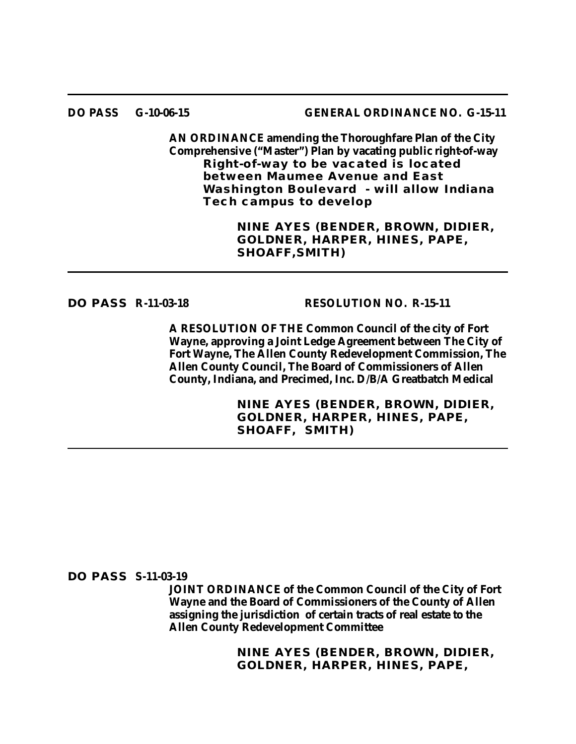#### **DO PASS G-10-06-15 GENERAL ORDINANCE NO. G-15-11**

**AN ORDINANCE amending the Thoroughfare Plan of the City Comprehensive ("Master") Plan by vacating public right-of-way Right-of-way to be vacated is located between Maumee Avenue and East Washington Boulevard - will allow Indiana Tech campus to develop**

> **NINE AYES (BENDER, BROWN, DIDIER, GOLDNER, HARPER, HINES, PAPE, SHOAFF,SMITH)**

#### **DO PASS R-11-03-18 RESOLUTION NO. R-15-11**

**A RESOLUTION OF THE Common Council of the city of Fort Wayne, approving a Joint Ledge Agreement between The City of Fort Wayne, The Allen County Redevelopment Commission, The Allen County Council, The Board of Commissioners of Allen County, Indiana, and Precimed, Inc. D/B/A Greatbatch Medical**

> **NINE AYES (BENDER, BROWN, DIDIER, GOLDNER, HARPER, HINES, PAPE, SHOAFF, SMITH)**

#### **DO PASS S-11-03-19**

**JOINT ORDINANCE of the Common Council of the City of Fort Wayne and the Board of Commissioners of the County of Allen assigning the jurisdiction of certain tracts of real estate to the Allen County Redevelopment Committee**

> **NINE AYES (BENDER, BROWN, DIDIER, GOLDNER, HARPER, HINES, PAPE,**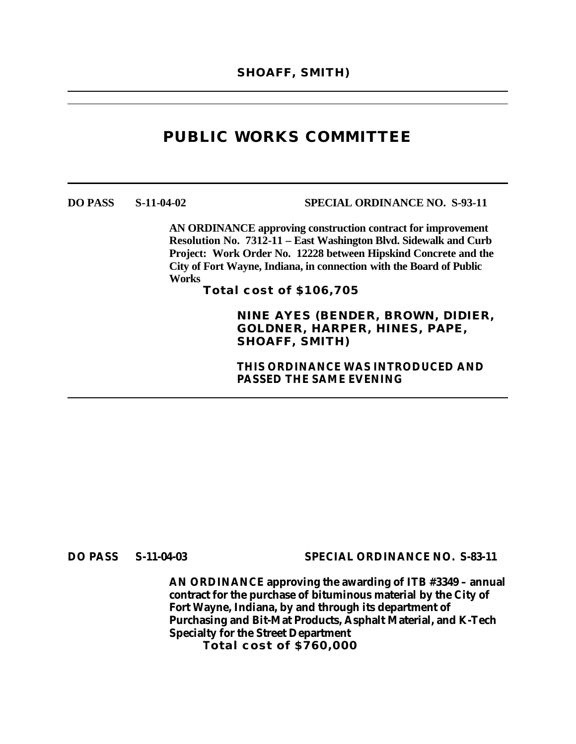# **PUBLIC WORKS COMMITTEE**

**DO PASS S-11-04-02 SPECIAL ORDINANCE NO. S-93-11**

**AN ORDINANCE approving construction contract for improvement Resolution No. 7312-11 – East Washington Blvd. Sidewalk and Curb Project: Work Order No. 12228 between Hipskind Concrete and the City of Fort Wayne, Indiana, in connection with the Board of Public Works**

**Total cost of \$106,705**

**NINE AYES (BENDER, BROWN, DIDIER, GOLDNER, HARPER, HINES, PAPE, SHOAFF, SMITH)**

**THIS ORDINANCE WAS INTRODUCED AND PASSED THE SAME EVENING**

**DO PASS S-11-04-03 SPECIAL ORDINANCE NO. S-83-11**

**AN ORDINANCE approving the awarding of ITB #3349 – annual contract for the purchase of bituminous material by the City of Fort Wayne, Indiana, by and through its department of Purchasing and Bit-Mat Products, Asphalt Material, and K-Tech Specialty for the Street Department Total cost of \$760,000**